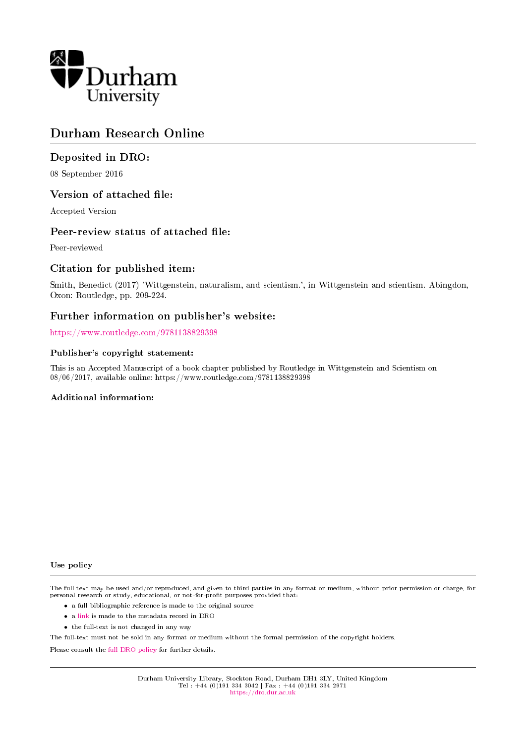

# Durham Research Online

# Deposited in DRO:

08 September 2016

# Version of attached file:

Accepted Version

### Peer-review status of attached file:

Peer-reviewed

# Citation for published item:

Smith, Benedict (2017) 'Wittgenstein, naturalism, and scientism.', in Wittgenstein and scientism. Abingdon, Oxon: Routledge, pp. 209-224.

# Further information on publisher's website:

<https://www.routledge.com/9781138829398>

### Publisher's copyright statement:

This is an Accepted Manuscript of a book chapter published by Routledge in Wittgenstein and Scientism on 08/06/2017, available online: https://www.routledge.com/9781138829398

### Additional information:

#### Use policy

The full-text may be used and/or reproduced, and given to third parties in any format or medium, without prior permission or charge, for personal research or study, educational, or not-for-profit purposes provided that:

- a full bibliographic reference is made to the original source
- a [link](http://dro.dur.ac.uk/19719/) is made to the metadata record in DRO
- the full-text is not changed in any way

The full-text must not be sold in any format or medium without the formal permission of the copyright holders.

Please consult the [full DRO policy](https://dro.dur.ac.uk/policies/usepolicy.pdf) for further details.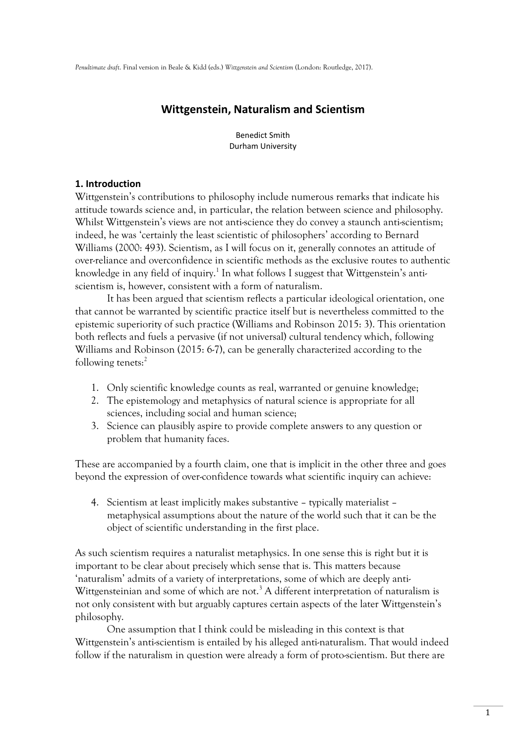*Penultimate draft*. Final version in Beale & Kidd (eds.) *Wittgenstein and Scientism* (London: Routledge, 2017).

# **Wittgenstein, Naturalism and Scientism**

Benedict Smith Durham University

## **1. Introduction**

Wittgenstein's contributions to philosophy include numerous remarks that indicate his attitude towards science and, in particular, the relation between science and philosophy. Whilst Wittgenstein's views are not anti-science they do convey a staunch anti-scientism; indeed, he was 'certainly the least scientistic of philosophers' according to Bernard Williams (2000: 493). Scientism, as I will focus on it, generally connotes an attitude of over-reliance and overconfidence in scientific methods as the exclusive routes to authentic knowledge in any field of inquiry. 1 In what follows I suggest that Wittgenstein's antiscientism is, however, consistent with a form of naturalism.

It has been argued that scientism reflects a particular ideological orientation, one that cannot be warranted by scientific practice itself but is nevertheless committed to the epistemic superiority of such practice (Williams and Robinson 2015: 3). This orientation both reflects and fuels a pervasive (if not universal) cultural tendency which, following Williams and Robinson (2015: 6-7), can be generally characterized according to the following tenets: 2

- 1. Only scientific knowledge counts as real, warranted or genuine knowledge;
- 2. The epistemology and metaphysics of natural science is appropriate for all sciences, including social and human science;
- 3. Science can plausibly aspire to provide complete answers to any question or problem that humanity faces.

These are accompanied by a fourth claim, one that is implicit in the other three and goes beyond the expression of over-confidence towards what scientific inquiry can achieve:

4. Scientism at least implicitly makes substantive – typically materialist – metaphysical assumptions about the nature of the world such that it can be the object of scientific understanding in the first place.

As such scientism requires a naturalist metaphysics. In one sense this is right but it is important to be clear about precisely which sense that is. This matters because 'naturalism' admits of a variety of interpretations, some of which are deeply anti-Wittgensteinian and some of which are not.<sup>3</sup> A different interpretation of naturalism is not only consistent with but arguably captures certain aspects of the later Wittgenstein's philosophy.

One assumption that I think could be misleading in this context is that Wittgenstein's anti-scientism is entailed by his alleged anti-naturalism. That would indeed follow if the naturalism in question were already a form of proto-scientism. But there are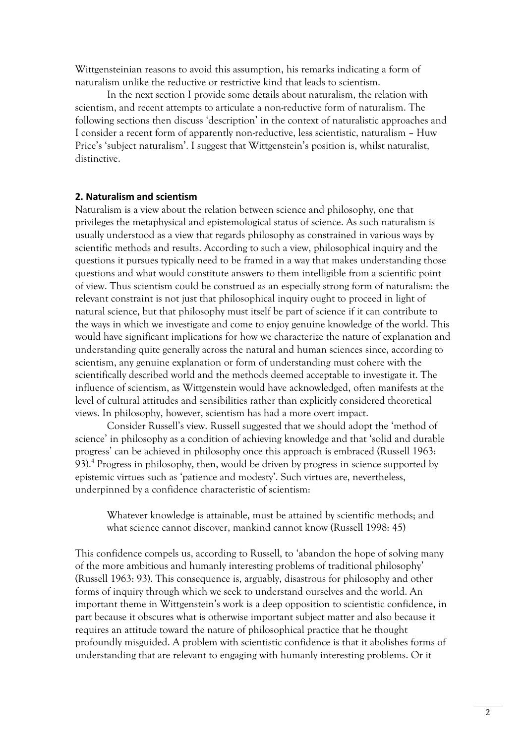Wittgensteinian reasons to avoid this assumption, his remarks indicating a form of naturalism unlike the reductive or restrictive kind that leads to scientism.

In the next section I provide some details about naturalism, the relation with scientism, and recent attempts to articulate a non-reductive form of naturalism. The following sections then discuss 'description' in the context of naturalistic approaches and I consider a recent form of apparently non-reductive, less scientistic, naturalism – Huw Price's 'subject naturalism'. I suggest that Wittgenstein's position is, whilst naturalist, distinctive.

### **2. Naturalism and scientism**

Naturalism is a view about the relation between science and philosophy, one that privileges the metaphysical and epistemological status of science. As such naturalism is usually understood as a view that regards philosophy as constrained in various ways by scientific methods and results. According to such a view, philosophical inquiry and the questions it pursues typically need to be framed in a way that makes understanding those questions and what would constitute answers to them intelligible from a scientific point of view. Thus scientism could be construed as an especially strong form of naturalism: the relevant constraint is not just that philosophical inquiry ought to proceed in light of natural science, but that philosophy must itself be part of science if it can contribute to the ways in which we investigate and come to enjoy genuine knowledge of the world. This would have significant implications for how we characterize the nature of explanation and understanding quite generally across the natural and human sciences since, according to scientism, any genuine explanation or form of understanding must cohere with the scientifically described world and the methods deemed acceptable to investigate it. The influence of scientism, as Wittgenstein would have acknowledged, often manifests at the level of cultural attitudes and sensibilities rather than explicitly considered theoretical views. In philosophy, however, scientism has had a more overt impact.

Consider Russell's view. Russell suggested that we should adopt the 'method of science' in philosophy as a condition of achieving knowledge and that 'solid and durable progress' can be achieved in philosophy once this approach is embraced (Russell 1963: 93).<sup>4</sup> Progress in philosophy, then, would be driven by progress in science supported by epistemic virtues such as 'patience and modesty'. Such virtues are, nevertheless, underpinned by a confidence characteristic of scientism:

Whatever knowledge is attainable, must be attained by scientific methods; and what science cannot discover, mankind cannot know (Russell 1998: 45)

This confidence compels us, according to Russell, to 'abandon the hope of solving many of the more ambitious and humanly interesting problems of traditional philosophy' (Russell 1963: 93). This consequence is, arguably, disastrous for philosophy and other forms of inquiry through which we seek to understand ourselves and the world. An important theme in Wittgenstein's work is a deep opposition to scientistic confidence, in part because it obscures what is otherwise important subject matter and also because it requires an attitude toward the nature of philosophical practice that he thought profoundly misguided. A problem with scientistic confidence is that it abolishes forms of understanding that are relevant to engaging with humanly interesting problems. Or it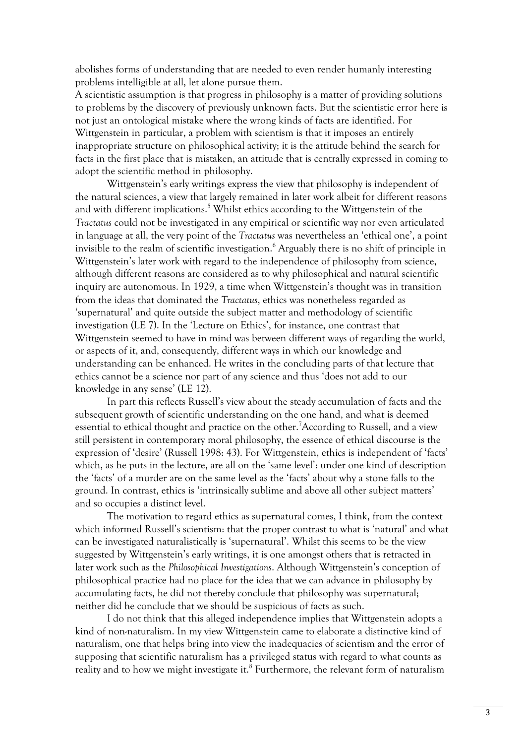abolishes forms of understanding that are needed to even render humanly interesting problems intelligible at all, let alone pursue them.

A scientistic assumption is that progress in philosophy is a matter of providing solutions to problems by the discovery of previously unknown facts. But the scientistic error here is not just an ontological mistake where the wrong kinds of facts are identified. For Wittgenstein in particular, a problem with scientism is that it imposes an entirely inappropriate structure on philosophical activity; it is the attitude behind the search for facts in the first place that is mistaken, an attitude that is centrally expressed in coming to adopt the scientific method in philosophy.

Wittgenstein's early writings express the view that philosophy is independent of the natural sciences, a view that largely remained in later work albeit for different reasons and with different implications.<sup>5</sup> Whilst ethics according to the Wittgenstein of the *Tractatus* could not be investigated in any empirical or scientific way nor even articulated in language at all, the very point of the *Tractatus* was nevertheless an 'ethical one', a point invisible to the realm of scientific investigation. <sup>6</sup> Arguably there is no shift of principle in Wittgenstein's later work with regard to the independence of philosophy from science, although different reasons are considered as to why philosophical and natural scientific inquiry are autonomous. In 1929, a time when Wittgenstein's thought was in transition from the ideas that dominated the *Tractatus*, ethics was nonetheless regarded as 'supernatural' and quite outside the subject matter and methodology of scientific investigation (LE 7). In the 'Lecture on Ethics', for instance, one contrast that Wittgenstein seemed to have in mind was between different ways of regarding the world, or aspects of it, and, consequently, different ways in which our knowledge and understanding can be enhanced. He writes in the concluding parts of that lecture that ethics cannot be a science nor part of any science and thus 'does not add to our knowledge in any sense' (LE 12).

In part this reflects Russell's view about the steady accumulation of facts and the subsequent growth of scientific understanding on the one hand, and what is deemed essential to ethical thought and practice on the other.<sup>7</sup>According to Russell, and a view still persistent in contemporary moral philosophy, the essence of ethical discourse is the expression of 'desire' (Russell 1998: 43). For Wittgenstein, ethics is independent of 'facts' which, as he puts in the lecture, are all on the 'same level': under one kind of description the 'facts' of a murder are on the same level as the 'facts' about why a stone falls to the ground. In contrast, ethics is 'intrinsically sublime and above all other subject matters' and so occupies a distinct level.

The motivation to regard ethics as supernatural comes, I think, from the context which informed Russell's scientism: that the proper contrast to what is 'natural' and what can be investigated naturalistically is 'supernatural'. Whilst this seems to be the view suggested by Wittgenstein's early writings, it is one amongst others that is retracted in later work such as the *Philosophical Investigations*. Although Wittgenstein's conception of philosophical practice had no place for the idea that we can advance in philosophy by accumulating facts, he did not thereby conclude that philosophy was supernatural; neither did he conclude that we should be suspicious of facts as such.

I do not think that this alleged independence implies that Wittgenstein adopts a kind of non-naturalism. In my view Wittgenstein came to elaborate a distinctive kind of naturalism, one that helps bring into view the inadequacies of scientism and the error of supposing that scientific naturalism has a privileged status with regard to what counts as reality and to how we might investigate it. $8$  Furthermore, the relevant form of naturalism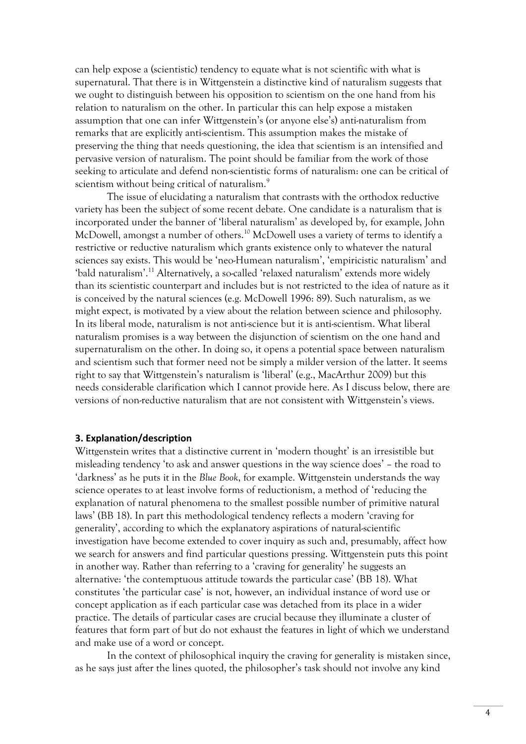can help expose a (scientistic) tendency to equate what is not scientific with what is supernatural. That there is in Wittgenstein a distinctive kind of naturalism suggests that we ought to distinguish between his opposition to scientism on the one hand from his relation to naturalism on the other. In particular this can help expose a mistaken assumption that one can infer Wittgenstein's (or anyone else's) anti-naturalism from remarks that are explicitly anti-scientism. This assumption makes the mistake of preserving the thing that needs questioning, the idea that scientism is an intensified and pervasive version of naturalism. The point should be familiar from the work of those seeking to articulate and defend non-scientistic forms of naturalism: one can be critical of scientism without being critical of naturalism.<sup>9</sup>

The issue of elucidating a naturalism that contrasts with the orthodox reductive variety has been the subject of some recent debate. One candidate is a naturalism that is incorporated under the banner of 'liberal naturalism' as developed by, for example, John McDowell, amongst a number of others.<sup>10</sup> McDowell uses a variety of terms to identify a restrictive or reductive naturalism which grants existence only to whatever the natural sciences say exists. This would be 'neo-Humean naturalism', 'empiricistic naturalism' and 'bald naturalism'.<sup>11</sup> Alternatively, a so-called 'relaxed naturalism' extends more widely than its scientistic counterpart and includes but is not restricted to the idea of nature as it is conceived by the natural sciences (e.g. McDowell 1996: 89). Such naturalism, as we might expect, is motivated by a view about the relation between science and philosophy. In its liberal mode, naturalism is not anti-science but it is anti-scientism. What liberal naturalism promises is a way between the disjunction of scientism on the one hand and supernaturalism on the other. In doing so, it opens a potential space between naturalism and scientism such that former need not be simply a milder version of the latter. It seems right to say that Wittgenstein's naturalism is 'liberal' (e.g., MacArthur 2009) but this needs considerable clarification which I cannot provide here. As I discuss below, there are versions of non-reductive naturalism that are not consistent with Wittgenstein's views.

### **3. Explanation/description**

Wittgenstein writes that a distinctive current in 'modern thought' is an irresistible but misleading tendency 'to ask and answer questions in the way science does' – the road to 'darkness' as he puts it in the *Blue Book*, for example. Wittgenstein understands the way science operates to at least involve forms of reductionism, a method of 'reducing the explanation of natural phenomena to the smallest possible number of primitive natural laws' (BB 18). In part this methodological tendency reflects a modern 'craving for generality', according to which the explanatory aspirations of natural-scientific investigation have become extended to cover inquiry as such and, presumably, affect how we search for answers and find particular questions pressing. Wittgenstein puts this point in another way. Rather than referring to a 'craving for generality' he suggests an alternative: 'the contemptuous attitude towards the particular case' (BB 18). What constitutes 'the particular case' is not, however, an individual instance of word use or concept application as if each particular case was detached from its place in a wider practice. The details of particular cases are crucial because they illuminate a cluster of features that form part of but do not exhaust the features in light of which we understand and make use of a word or concept.

In the context of philosophical inquiry the craving for generality is mistaken since, as he says just after the lines quoted, the philosopher's task should not involve any kind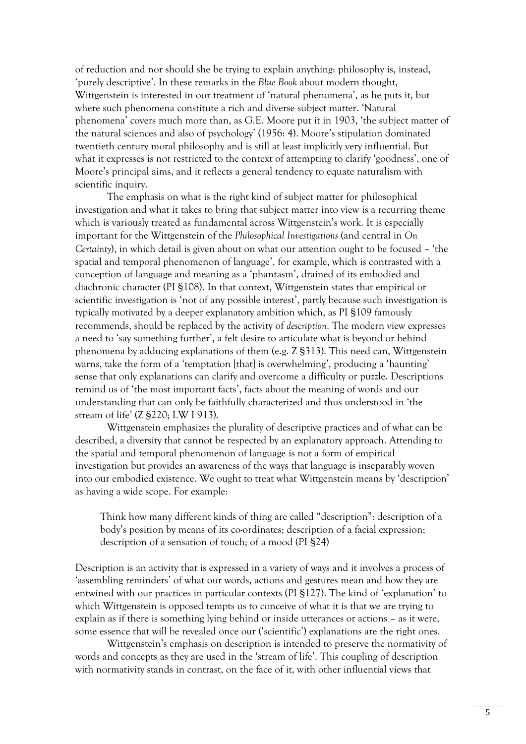of reduction and nor should she be trying to explain anything: philosophy is, instead, 'purely descriptive'. In these remarks in the *Blue Book* about modern thought, Wittgenstein is interested in our treatment of 'natural phenomena', as he puts it, but where such phenomena constitute a rich and diverse subject matter. 'Natural phenomena' covers much more than, as G.E. Moore put it in 1903, 'the subject matter of the natural sciences and also of psychology' (1956: 4). Moore's stipulation dominated twentieth century moral philosophy and is still at least implicitly very influential. But what it expresses is not restricted to the context of attempting to clarify 'goodness', one of Moore's principal aims, and it reflects a general tendency to equate naturalism with scientific inquiry.

The emphasis on what is the right kind of subject matter for philosophical investigation and what it takes to bring that subject matter into view is a recurring theme which is variously treated as fundamental across Wittgenstein's work. It is especially important for the Wittgenstein of the *Philosophical Investigations* (and central in *On Certainty*), in which detail is given about on what our attention ought to be focused – 'the spatial and temporal phenomenon of language', for example, which is contrasted with a conception of language and meaning as a 'phantasm', drained of its embodied and diachronic character (PI §108). In that context, Wittgenstein states that empirical or scientific investigation is 'not of any possible interest', partly because such investigation is typically motivated by a deeper explanatory ambition which, as PI §109 famously recommends, should be replaced by the activity of *description*. The modern view expresses a need to 'say something further', a felt desire to articulate what is beyond or behind phenomena by adducing explanations of them (e.g. Z §313). This need can, Wittgenstein warns, take the form of a 'temptation [that] is overwhelming', producing a 'haunting' sense that only explanations can clarify and overcome a difficulty or puzzle. Descriptions remind us of 'the most important facts', facts about the meaning of words and our understanding that can only be faithfully characterized and thus understood in 'the stream of life' (Z §220; LW I 913).

Wittgenstein emphasizes the plurality of descriptive practices and of what can be described, a diversity that cannot be respected by an explanatory approach. Attending to the spatial and temporal phenomenon of language is not a form of empirical investigation but provides an awareness of the ways that language is inseparably woven into our embodied existence. We ought to treat what Wittgenstein means by 'description' as having a wide scope. For example:

Think how many different kinds of thing are called "description": description of a body's position by means of its co-ordinates; description of a facial expression; description of a sensation of touch; of a mood (PI §24)

Description is an activity that is expressed in a variety of ways and it involves a process of 'assembling reminders' of what our words, actions and gestures mean and how they are entwined with our practices in particular contexts (PI §127). The kind of 'explanation' to which Wittgenstein is opposed tempts us to conceive of what it is that we are trying to explain as if there is something lying behind or inside utterances or actions – as it were, some essence that will be revealed once our ('scientific') explanations are the right ones.

Wittgenstein's emphasis on description is intended to preserve the normativity of words and concepts as they are used in the 'stream of life'. This coupling of description with normativity stands in contrast, on the face of it, with other influential views that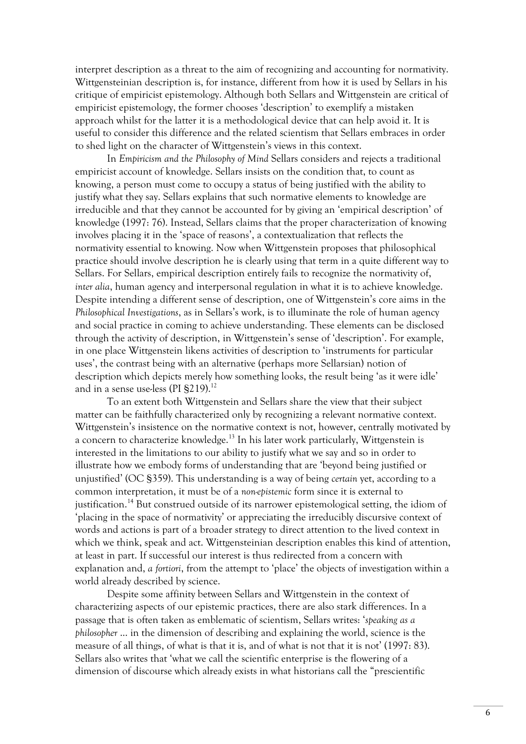interpret description as a threat to the aim of recognizing and accounting for normativity. Wittgensteinian description is, for instance, different from how it is used by Sellars in his critique of empiricist epistemology. Although both Sellars and Wittgenstein are critical of empiricist epistemology, the former chooses 'description' to exemplify a mistaken approach whilst for the latter it is a methodological device that can help avoid it. It is useful to consider this difference and the related scientism that Sellars embraces in order to shed light on the character of Wittgenstein's views in this context.

In *Empiricism and the Philosophy of Mind* Sellars considers and rejects a traditional empiricist account of knowledge. Sellars insists on the condition that, to count as knowing, a person must come to occupy a status of being justified with the ability to justify what they say. Sellars explains that such normative elements to knowledge are irreducible and that they cannot be accounted for by giving an 'empirical description' of knowledge (1997: 76). Instead, Sellars claims that the proper characterization of knowing involves placing it in the 'space of reasons', a contextualization that reflects the normativity essential to knowing. Now when Wittgenstein proposes that philosophical practice should involve description he is clearly using that term in a quite different way to Sellars. For Sellars, empirical description entirely fails to recognize the normativity of, *inter alia*, human agency and interpersonal regulation in what it is to achieve knowledge. Despite intending a different sense of description, one of Wittgenstein's core aims in the *Philosophical Investigations*, as in Sellars's work, is to illuminate the role of human agency and social practice in coming to achieve understanding. These elements can be disclosed through the activity of description, in Wittgenstein's sense of 'description'. For example, in one place Wittgenstein likens activities of description to 'instruments for particular uses', the contrast being with an alternative (perhaps more Sellarsian) notion of description which depicts merely how something looks, the result being 'as it were idle' and in a sense use-less (PI §219).<sup>12</sup>

To an extent both Wittgenstein and Sellars share the view that their subject matter can be faithfully characterized only by recognizing a relevant normative context. Wittgenstein's insistence on the normative context is not, however, centrally motivated by a concern to characterize knowledge.<sup>13</sup> In his later work particularly, Wittgenstein is interested in the limitations to our ability to justify what we say and so in order to illustrate how we embody forms of understanding that are 'beyond being justified or unjustified' (OC §359). This understanding is a way of being *certain* yet, according to a common interpretation, it must be of a *non-epistemic* form since it is external to justification.<sup>14</sup> But construed outside of its narrower epistemological setting, the idiom of 'placing in the space of normativity' or appreciating the irreducibly discursive context of words and actions is part of a broader strategy to direct attention to the lived context in which we think, speak and act. Wittgensteinian description enables this kind of attention, at least in part. If successful our interest is thus redirected from a concern with explanation and, *a fortiori*, from the attempt to 'place' the objects of investigation within a world already described by science.

Despite some affinity between Sellars and Wittgenstein in the context of characterizing aspects of our epistemic practices, there are also stark differences. In a passage that is often taken as emblematic of scientism, Sellars writes: '*speaking as a philosopher* ... in the dimension of describing and explaining the world, science is the measure of all things, of what is that it is, and of what is not that it is not' (1997: 83). Sellars also writes that 'what we call the scientific enterprise is the flowering of a dimension of discourse which already exists in what historians call the "prescientific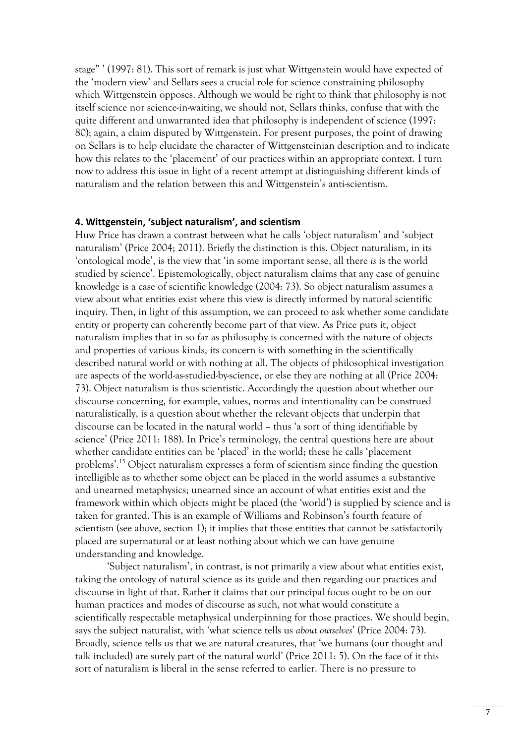stage" ' (1997: 81). This sort of remark is just what Wittgenstein would have expected of the 'modern view' and Sellars sees a crucial role for science constraining philosophy which Wittgenstein opposes. Although we would be right to think that philosophy is not itself science nor science-in-waiting, we should not, Sellars thinks, confuse that with the quite different and unwarranted idea that philosophy is independent of science (1997: 80); again, a claim disputed by Wittgenstein. For present purposes, the point of drawing on Sellars is to help elucidate the character of Wittgensteinian description and to indicate how this relates to the 'placement' of our practices within an appropriate context. I turn now to address this issue in light of a recent attempt at distinguishing different kinds of naturalism and the relation between this and Wittgenstein's anti-scientism.

### **4. Wittgenstein, 'subject naturalism', and scientism**

Huw Price has drawn a contrast between what he calls 'object naturalism' and 'subject naturalism' (Price 2004; 2011). Briefly the distinction is this. Object naturalism, in its 'ontological mode', is the view that 'in some important sense, all there *is* is the world studied by science'. Epistemologically, object naturalism claims that any case of genuine knowledge is a case of scientific knowledge (2004: 73). So object naturalism assumes a view about what entities exist where this view is directly informed by natural scientific inquiry. Then, in light of this assumption, we can proceed to ask whether some candidate entity or property can coherently become part of that view. As Price puts it, object naturalism implies that in so far as philosophy is concerned with the nature of objects and properties of various kinds, its concern is with something in the scientifically described natural world or with nothing at all. The objects of philosophical investigation are aspects of the world-as-studied-by-science, or else they are nothing at all (Price 2004: 73). Object naturalism is thus scientistic. Accordingly the question about whether our discourse concerning, for example, values, norms and intentionality can be construed naturalistically, is a question about whether the relevant objects that underpin that discourse can be located in the natural world – thus 'a sort of thing identifiable by science' (Price 2011: 188). In Price's terminology, the central questions here are about whether candidate entities can be 'placed' in the world; these he calls 'placement problems'.<sup>15</sup> Object naturalism expresses a form of scientism since finding the question intelligible as to whether some object can be placed in the world assumes a substantive and unearned metaphysics; unearned since an account of what entities exist and the framework within which objects might be placed (the 'world') is supplied by science and is taken for granted. This is an example of Williams and Robinson's fourth feature of scientism (see above, section 1); it implies that those entities that cannot be satisfactorily placed are supernatural or at least nothing about which we can have genuine understanding and knowledge.

'Subject naturalism', in contrast, is not primarily a view about what entities exist, taking the ontology of natural science as its guide and then regarding our practices and discourse in light of that. Rather it claims that our principal focus ought to be on our human practices and modes of discourse as such, not what would constitute a scientifically respectable metaphysical underpinning for those practices. We should begin, says the subject naturalist, with 'what science tells us *about ourselves*' (Price 2004: 73). Broadly, science tells us that we are natural creatures, that 'we humans (our thought and talk included) are surely part of the natural world' (Price 2011: 5). On the face of it this sort of naturalism is liberal in the sense referred to earlier. There is no pressure to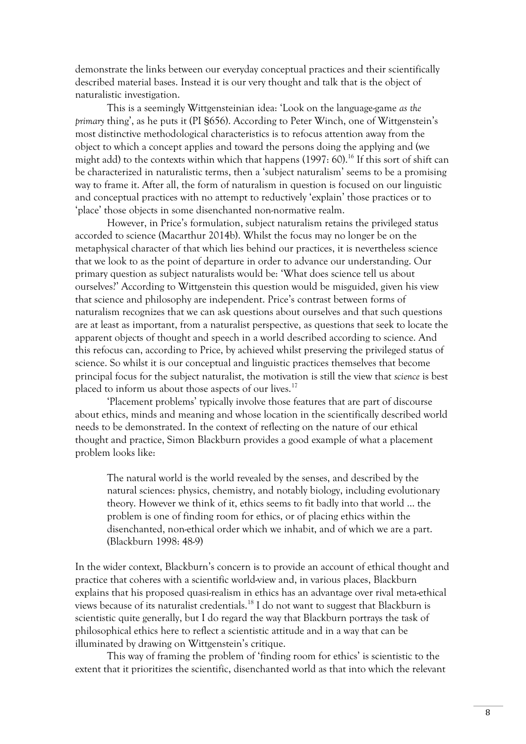demonstrate the links between our everyday conceptual practices and their scientifically described material bases. Instead it is our very thought and talk that is the object of naturalistic investigation.

This is a seemingly Wittgensteinian idea: 'Look on the language-game *as the primary* thing', as he puts it (PI §656). According to Peter Winch, one of Wittgenstein's most distinctive methodological characteristics is to refocus attention away from the object to which a concept applies and toward the persons doing the applying and (we might add) to the contexts within which that happens (1997: 60). <sup>16</sup> If this sort of shift can be characterized in naturalistic terms, then a 'subject naturalism' seems to be a promising way to frame it. After all, the form of naturalism in question is focused on our linguistic and conceptual practices with no attempt to reductively 'explain' those practices or to 'place' those objects in some disenchanted non-normative realm.

However, in Price's formulation, subject naturalism retains the privileged status accorded to science (Macarthur 2014b). Whilst the focus may no longer be on the metaphysical character of that which lies behind our practices, it is nevertheless science that we look to as the point of departure in order to advance our understanding. Our primary question as subject naturalists would be: 'What does science tell us about ourselves?' According to Wittgenstein this question would be misguided, given his view that science and philosophy are independent. Price's contrast between forms of naturalism recognizes that we can ask questions about ourselves and that such questions are at least as important, from a naturalist perspective, as questions that seek to locate the apparent objects of thought and speech in a world described according to science. And this refocus can, according to Price, by achieved whilst preserving the privileged status of science. So whilst it is our conceptual and linguistic practices themselves that become principal focus for the subject naturalist, the motivation is still the view that *science* is best placed to inform us about those aspects of our lives.<sup>17</sup>

'Placement problems' typically involve those features that are part of discourse about ethics, minds and meaning and whose location in the scientifically described world needs to be demonstrated. In the context of reflecting on the nature of our ethical thought and practice, Simon Blackburn provides a good example of what a placement problem looks like:

The natural world is the world revealed by the senses, and described by the natural sciences: physics, chemistry, and notably biology, including evolutionary theory. However we think of it, ethics seems to fit badly into that world ... the problem is one of finding room for ethics, or of placing ethics within the disenchanted, non-ethical order which we inhabit, and of which we are a part. (Blackburn 1998: 48-9)

In the wider context, Blackburn's concern is to provide an account of ethical thought and practice that coheres with a scientific world-view and, in various places, Blackburn explains that his proposed quasi-realism in ethics has an advantage over rival meta-ethical views because of its naturalist credentials.<sup>18</sup> I do not want to suggest that Blackburn is scientistic quite generally, but I do regard the way that Blackburn portrays the task of philosophical ethics here to reflect a scientistic attitude and in a way that can be illuminated by drawing on Wittgenstein's critique.

This way of framing the problem of 'finding room for ethics' is scientistic to the extent that it prioritizes the scientific, disenchanted world as that into which the relevant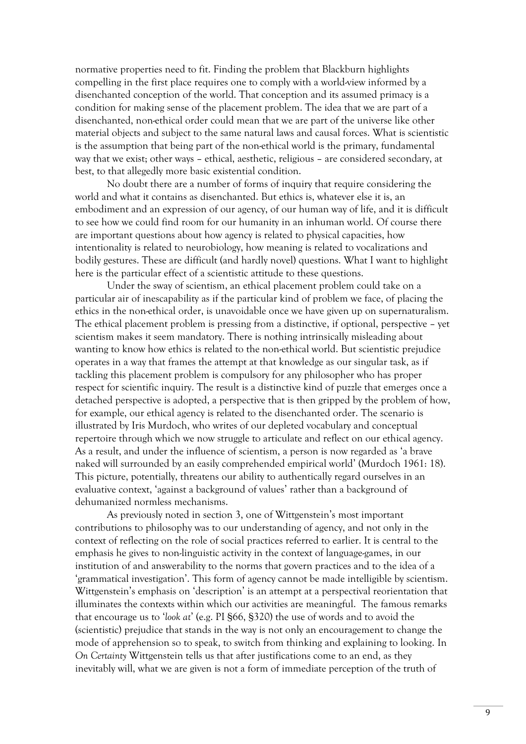normative properties need to fit. Finding the problem that Blackburn highlights compelling in the first place requires one to comply with a world-view informed by a disenchanted conception of the world. That conception and its assumed primacy is a condition for making sense of the placement problem. The idea that we are part of a disenchanted, non-ethical order could mean that we are part of the universe like other material objects and subject to the same natural laws and causal forces. What is scientistic is the assumption that being part of the non-ethical world is the primary, fundamental way that we exist; other ways – ethical, aesthetic, religious – are considered secondary, at best, to that allegedly more basic existential condition.

No doubt there are a number of forms of inquiry that require considering the world and what it contains as disenchanted. But ethics is, whatever else it is, an embodiment and an expression of our agency, of our human way of life, and it is difficult to see how we could find room for our humanity in an inhuman world. Of course there are important questions about how agency is related to physical capacities, how intentionality is related to neurobiology, how meaning is related to vocalizations and bodily gestures. These are difficult (and hardly novel) questions. What I want to highlight here is the particular effect of a scientistic attitude to these questions.

Under the sway of scientism, an ethical placement problem could take on a particular air of inescapability as if the particular kind of problem we face, of placing the ethics in the non-ethical order, is unavoidable once we have given up on supernaturalism. The ethical placement problem is pressing from a distinctive, if optional, perspective – yet scientism makes it seem mandatory. There is nothing intrinsically misleading about wanting to know how ethics is related to the non-ethical world. But scientistic prejudice operates in a way that frames the attempt at that knowledge as our singular task, as if tackling this placement problem is compulsory for any philosopher who has proper respect for scientific inquiry. The result is a distinctive kind of puzzle that emerges once a detached perspective is adopted, a perspective that is then gripped by the problem of how, for example, our ethical agency is related to the disenchanted order. The scenario is illustrated by Iris Murdoch, who writes of our depleted vocabulary and conceptual repertoire through which we now struggle to articulate and reflect on our ethical agency. As a result, and under the influence of scientism, a person is now regarded as 'a brave naked will surrounded by an easily comprehended empirical world' (Murdoch 1961: 18). This picture, potentially, threatens our ability to authentically regard ourselves in an evaluative context, 'against a background of values' rather than a background of dehumanized normless mechanisms.

As previously noted in section 3, one of Wittgenstein's most important contributions to philosophy was to our understanding of agency, and not only in the context of reflecting on the role of social practices referred to earlier. It is central to the emphasis he gives to non-linguistic activity in the context of language-games, in our institution of and answerability to the norms that govern practices and to the idea of a 'grammatical investigation'. This form of agency cannot be made intelligible by scientism. Wittgenstein's emphasis on 'description' is an attempt at a perspectival reorientation that illuminates the contexts within which our activities are meaningful. The famous remarks that encourage us to '*look at*' (e.g. PI §66, §320) the use of words and to avoid the (scientistic) prejudice that stands in the way is not only an encouragement to change the mode of apprehension so to speak, to switch from thinking and explaining to looking. In *On Certainty* Wittgenstein tells us that after justifications come to an end, as they inevitably will, what we are given is not a form of immediate perception of the truth of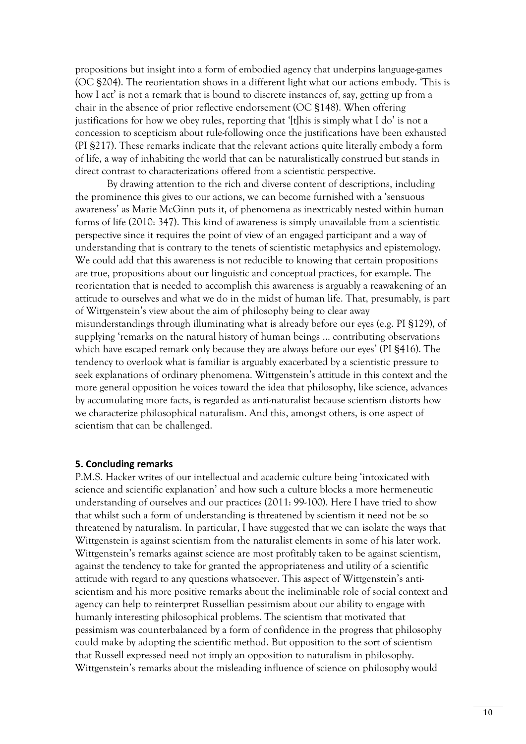propositions but insight into a form of embodied agency that underpins language-games (OC §204). The reorientation shows in a different light what our actions embody. 'This is how I act' is not a remark that is bound to discrete instances of, say, getting up from a chair in the absence of prior reflective endorsement (OC §148). When offering justifications for how we obey rules, reporting that '[t]his is simply what I do' is not a concession to scepticism about rule-following once the justifications have been exhausted (PI §217). These remarks indicate that the relevant actions quite literally embody a form of life, a way of inhabiting the world that can be naturalistically construed but stands in direct contrast to characterizations offered from a scientistic perspective.

By drawing attention to the rich and diverse content of descriptions, including the prominence this gives to our actions, we can become furnished with a 'sensuous awareness' as Marie McGinn puts it, of phenomena as inextricably nested within human forms of life (2010: 347). This kind of awareness is simply unavailable from a scientistic perspective since it requires the point of view of an engaged participant and a way of understanding that is contrary to the tenets of scientistic metaphysics and epistemology. We could add that this awareness is not reducible to knowing that certain propositions are true, propositions about our linguistic and conceptual practices, for example. The reorientation that is needed to accomplish this awareness is arguably a reawakening of an attitude to ourselves and what we do in the midst of human life. That, presumably, is part of Wittgenstein's view about the aim of philosophy being to clear away misunderstandings through illuminating what is already before our eyes (e.g. PI §129), of supplying 'remarks on the natural history of human beings ... contributing observations which have escaped remark only because they are always before our eyes' (PI §416). The tendency to overlook what is familiar is arguably exacerbated by a scientistic pressure to seek explanations of ordinary phenomena. Wittgenstein's attitude in this context and the more general opposition he voices toward the idea that philosophy, like science, advances by accumulating more facts, is regarded as anti-naturalist because scientism distorts how we characterize philosophical naturalism. And this, amongst others, is one aspect of scientism that can be challenged.

### **5. Concluding remarks**

P.M.S. Hacker writes of our intellectual and academic culture being 'intoxicated with science and scientific explanation' and how such a culture blocks a more hermeneutic understanding of ourselves and our practices (2011: 99-100). Here I have tried to show that whilst such a form of understanding is threatened by scientism it need not be so threatened by naturalism. In particular, I have suggested that we can isolate the ways that Wittgenstein is against scientism from the naturalist elements in some of his later work. Wittgenstein's remarks against science are most profitably taken to be against scientism, against the tendency to take for granted the appropriateness and utility of a scientific attitude with regard to any questions whatsoever. This aspect of Wittgenstein's antiscientism and his more positive remarks about the ineliminable role of social context and agency can help to reinterpret Russellian pessimism about our ability to engage with humanly interesting philosophical problems. The scientism that motivated that pessimism was counterbalanced by a form of confidence in the progress that philosophy could make by adopting the scientific method. But opposition to the sort of scientism that Russell expressed need not imply an opposition to naturalism in philosophy. Wittgenstein's remarks about the misleading influence of science on philosophy would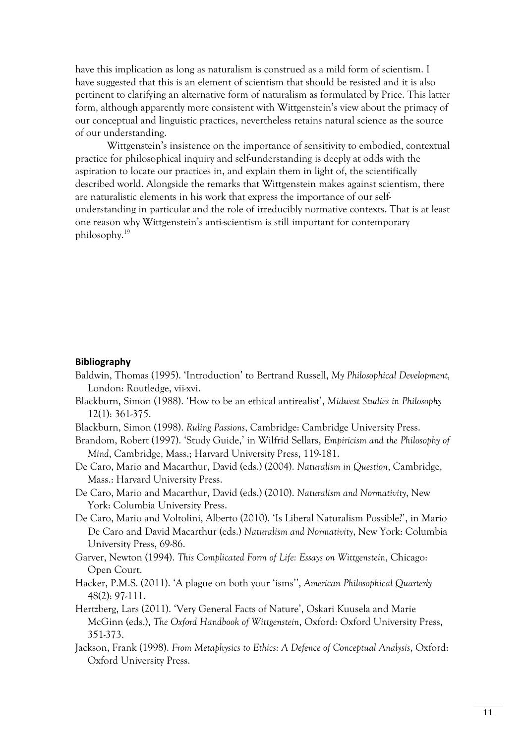have this implication as long as naturalism is construed as a mild form of scientism. I have suggested that this is an element of scientism that should be resisted and it is also pertinent to clarifying an alternative form of naturalism as formulated by Price. This latter form, although apparently more consistent with Wittgenstein's view about the primacy of our conceptual and linguistic practices, nevertheless retains natural science as the source of our understanding.

Wittgenstein's insistence on the importance of sensitivity to embodied, contextual practice for philosophical inquiry and self-understanding is deeply at odds with the aspiration to locate our practices in, and explain them in light of, the scientifically described world. Alongside the remarks that Wittgenstein makes against scientism, there are naturalistic elements in his work that express the importance of our selfunderstanding in particular and the role of irreducibly normative contexts. That is at least one reason why Wittgenstein's anti-scientism is still important for contemporary philosophy.<sup>19</sup>

### **Bibliography**

- Baldwin, Thomas (1995). 'Introduction' to Bertrand Russell, *My Philosophical Development,* London: Routledge, vii-xvi.
- Blackburn, Simon (1988). 'How to be an ethical antirealist', *Midwest Studies in Philosophy* 12(1): 361-375.
- Blackburn, Simon (1998). *Ruling Passions*, Cambridge: Cambridge University Press.
- Brandom, Robert (1997). 'Study Guide,' in Wilfrid Sellars, *Empiricism and the Philosophy of Mind*, Cambridge, Mass.; Harvard University Press, 119-181.
- De Caro, Mario and Macarthur, David (eds.) (2004). *Naturalism in Question*, Cambridge, Mass.: Harvard University Press.
- De Caro, Mario and Macarthur, David (eds.) (2010). *Naturalism and Normativity*, New York: Columbia University Press.
- De Caro, Mario and Voltolini, Alberto (2010). 'Is Liberal Naturalism Possible?', in Mario De Caro and David Macarthur (eds.) *Naturalism and Normativity*, New York: Columbia University Press, 69-86.
- Garver, Newton (1994). *This Complicated Form of Life: Essays on Wittgenstein*, Chicago: Open Court.
- Hacker, P.M.S. (2011). 'A plague on both your 'isms'', *American Philosophical Quarterly* 48(2): 97-111.
- Hertzberg, Lars (2011). 'Very General Facts of Nature', Oskari Kuusela and Marie McGinn (eds.), *The Oxford Handbook of Wittgenstein*, Oxford: Oxford University Press, 351-373.
- Jackson, Frank (1998). *From Metaphysics to Ethics: A Defence of Conceptual Analysis*, Oxford: Oxford University Press.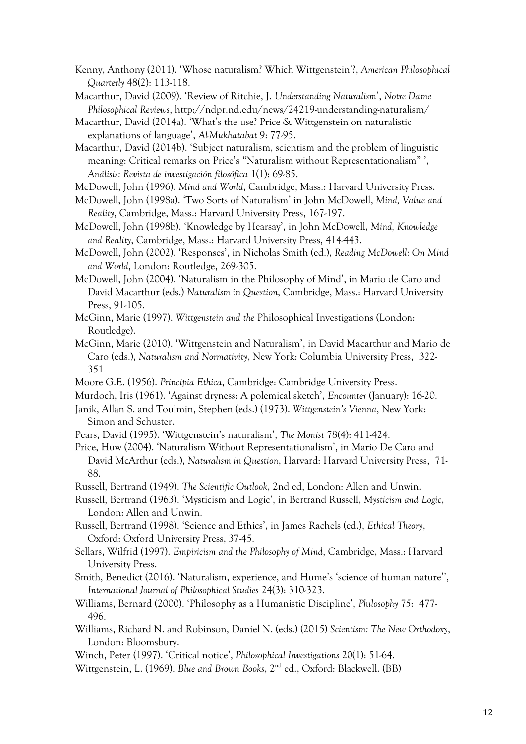- Kenny, Anthony (2011). 'Whose naturalism? Which Wittgenstein'?, *American Philosophical Quarterly* 48(2): 113-118.
- Macarthur, David (2009). 'Review of Ritchie, J. *Understanding Naturalism*', *Notre Dame Philosophical Reviews*, http://ndpr.nd.edu/news/24219-understanding-naturalism/
- Macarthur, David (2014a). 'What's the use? Price & Wittgenstein on naturalistic explanations of language', *Al-Mukhatabat* 9: 77-95.
- Macarthur, David (2014b). 'Subject naturalism, scientism and the problem of linguistic meaning: Critical remarks on Price's "Naturalism without Representationalism" ', *Análisis: Revista de investigación filosófica* 1(1): 69-85.
- McDowell, John (1996). *Mind and World*, Cambridge, Mass.: Harvard University Press.
- McDowell, John (1998a). 'Two Sorts of Naturalism' in John McDowell, *Mind, Value and Reality*, Cambridge, Mass.: Harvard University Press, 167-197.
- McDowell, John (1998b). 'Knowledge by Hearsay', in John McDowell, *Mind, Knowledge and Reality*, Cambridge, Mass.: Harvard University Press, 414-443.
- McDowell, John (2002). 'Responses', in Nicholas Smith (ed.), *Reading McDowell: On Mind and World*, London: Routledge, 269-305.
- McDowell, John (2004). 'Naturalism in the Philosophy of Mind', in Mario de Caro and David Macarthur (eds.) *Naturalism in Question*, Cambridge, Mass.: Harvard University Press, 91-105.
- McGinn, Marie (1997). *Wittgenstein and the* Philosophical Investigations (London: Routledge).
- McGinn, Marie (2010). 'Wittgenstein and Naturalism', in David Macarthur and Mario de Caro (eds.), *Naturalism and Normativity*, New York: Columbia University Press, 322- 351.
- Moore G.E. (1956). *Principia Ethica*, Cambridge: Cambridge University Press.
- Murdoch, Iris (1961). 'Against dryness: A polemical sketch', *Encounter* (January): 16-20.
- Janik, Allan S. and Toulmin, Stephen (eds.) (1973). *Wittgenstein's Vienna*, New York: Simon and Schuster.
- Pears, David (1995). 'Wittgenstein's naturalism', *The Monist* 78(4): 411-424.
- Price, Huw (2004). 'Naturalism Without Representationalism', in Mario De Caro and David McArthur (eds.), *Naturalism in Question*, Harvard: Harvard University Press, 71- 88.
- Russell, Bertrand (1949). *The Scientific Outlook*, 2nd ed, London: Allen and Unwin.
- Russell, Bertrand (1963). 'Mysticism and Logic', in Bertrand Russell, *Mysticism and Logic*, London: Allen and Unwin.
- Russell, Bertrand (1998). 'Science and Ethics', in James Rachels (ed.), *Ethical Theory*, Oxford: Oxford University Press, 37-45.
- Sellars, Wilfrid (1997). *Empiricism and the Philosophy of Mind*, Cambridge, Mass.: Harvard University Press.
- Smith, Benedict (2016). 'Naturalism, experience, and Hume's 'science of human nature'', *International Journal of Philosophical Studies* 24(3): 310-323.
- Williams, Bernard (2000). 'Philosophy as a Humanistic Discipline', *Philosophy* 75: 477- 496.
- Williams, Richard N. and Robinson, Daniel N. (eds.) (2015) *Scientism: The New Orthodoxy*, London: Bloomsbury.
- Winch, Peter (1997). 'Critical notice', *Philosophical Investigations* 20(1): 51-64.
- Wittgenstein, L. (1969). Blue and Brown Books, 2<sup>nd</sup> ed., Oxford: Blackwell. (BB)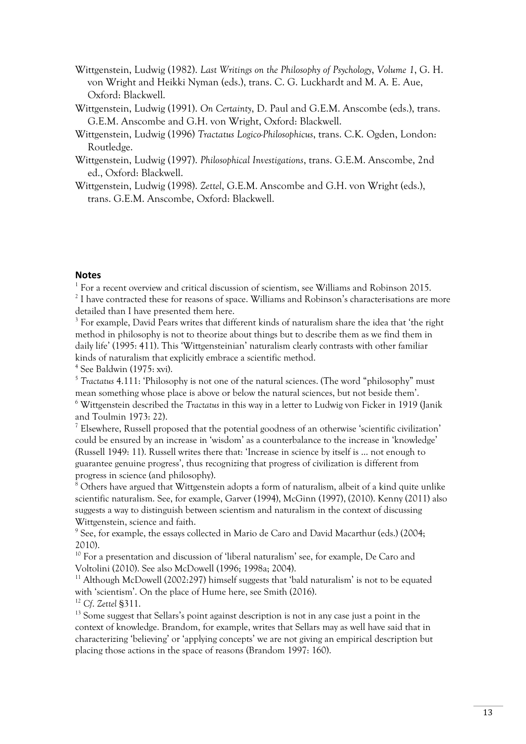- Wittgenstein, Ludwig (1982). *Last Writings on the Philosophy of Psychology*, *Volume 1*, G. H. von Wright and Heikki Nyman (eds.), trans. C. G. Luckhardt and M. A. E. Aue, Oxford: Blackwell.
- Wittgenstein, Ludwig (1991). *On Certainty*, D. Paul and G.E.M. Anscombe (eds.), trans. G.E.M. Anscombe and G.H. von Wright, Oxford: Blackwell.
- Wittgenstein, Ludwig (1996) *Tractatus Logico-Philosophicus*, trans. C.K. Ogden, London: Routledge.
- Wittgenstein, Ludwig (1997). *Philosophical Investigations*, trans. G.E.M. Anscombe, 2nd ed., Oxford: Blackwell.

Wittgenstein, Ludwig (1998). *Zettel*, G.E.M. Anscombe and G.H. von Wright (eds.), trans. G.E.M. Anscombe, Oxford: Blackwell.

### **Notes**

<sup>1</sup> For a recent overview and critical discussion of scientism, see Williams and Robinson 2015. <sup>2</sup> I have contracted these for reasons of space. Williams and Robinson's characterisations are more

detailed than I have presented them here.

<sup>3</sup> For example, David Pears writes that different kinds of naturalism share the idea that 'the right method in philosophy is not to theorize about things but to describe them as we find them in daily life' (1995: 411). This 'Wittgensteinian' naturalism clearly contrasts with other familiar kinds of naturalism that explicitly embrace a scientific method.

4 See Baldwin (1975: xvi).

<sup>5</sup> *Tractatus* 4.111: 'Philosophy is not one of the natural sciences. (The word "philosophy" must mean something whose place is above or below the natural sciences, but not beside them'.

<sup>6</sup> Wittgenstein described the *Tractatus* in this way in a letter to Ludwig von Ficker in 1919 (Janik and Toulmin 1973: 22).

<sup>7</sup> Elsewhere, Russell proposed that the potential goodness of an otherwise 'scientific civilization' could be ensured by an increase in 'wisdom' as a counterbalance to the increase in 'knowledge' (Russell 1949: 11). Russell writes there that: 'Increase in science by itself is ... not enough to guarantee genuine progress', thus recognizing that progress of civilization is different from progress in science (and philosophy).

<sup>8</sup> Others have argued that Wittgenstein adopts a form of naturalism, albeit of a kind quite unlike scientific naturalism. See, for example, Garver (1994), McGinn (1997), (2010). Kenny (2011) also suggests a way to distinguish between scientism and naturalism in the context of discussing Wittgenstein, science and faith.

<sup>9</sup> See, for example, the essays collected in Mario de Caro and David Macarthur (eds.) (2004; 2010).

<sup>10</sup> For a presentation and discussion of 'liberal naturalism' see, for example, De Caro and Voltolini (2010). See also McDowell (1996; 1998a; 2004).

 $11$  Although McDowell (2002:297) himself suggests that 'bald naturalism' is not to be equated with 'scientism'. On the place of Hume here, see Smith (2016).

<sup>12</sup> *Cf*. *Zettel* §311.

 $13$  Some suggest that Sellars's point against description is not in any case just a point in the context of knowledge. Brandom, for example, writes that Sellars may as well have said that in characterizing 'believing' or 'applying concepts' we are not giving an empirical description but placing those actions in the space of reasons (Brandom 1997: 160).